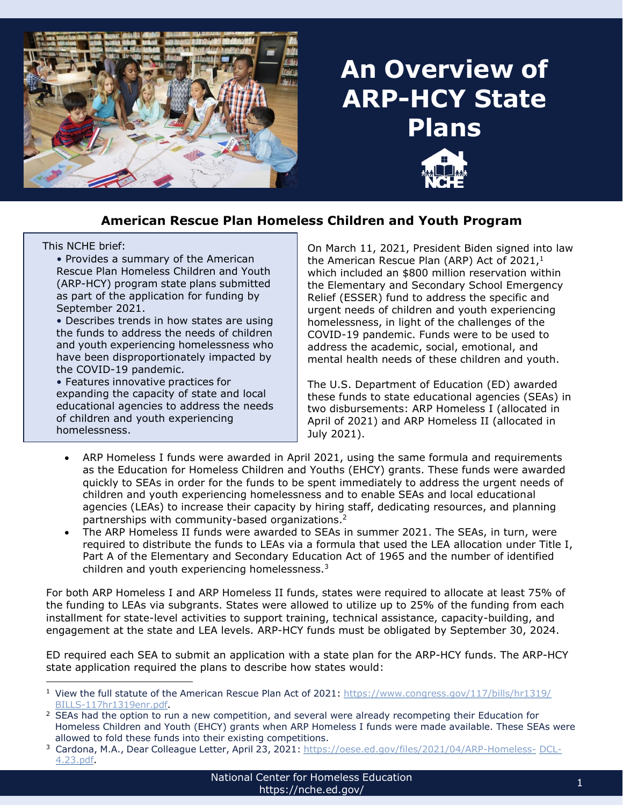

# **An Overview of ARP-HCY State Plans**



This NCHE brief:

• Provides a summary of the American Rescue Plan Homeless Children and Youth (ARP-HCY) program state plans submitted as part of the application for funding by September 2021.

• Describes trends in how states are using the funds to address the needs of children and youth experiencing homelessness who have been disproportionately impacted by the COVID-19 pandemic.

• Features innovative practices for expanding the capacity of state and local educational agencies to address the needs of children and youth experiencing homelessness.

On March 11, 2021, President Biden signed into law the American Rescue Plan (ARP) Act of  $2021<sup>1</sup>$ which included an \$800 million reservation within the Elementary and Secondary School Emergency Relief (ESSER) fund to address the specific and urgent needs of children and youth experiencing homelessness, in light of the challenges of the COVID-19 pandemic. Funds were to be used to address the academic, social, emotional, and mental health needs of these children and youth.

The U.S. Department of Education (ED) awarded these funds to state educational agencies (SEAs) in two disbursements: ARP Homeless I (allocated in April of 2021) and ARP Homeless II (allocated in July 2021).

- ARP Homeless I funds were awarded in April 2021, using the same formula and requirements as the Education for Homeless Children and Youths (EHCY) grants. These funds were awarded quickly to SEAs in order for the funds to be spent immediately to address the urgent needs of children and youth experiencing homelessness and to enable SEAs and local educational agencies (LEAs) to increase their capacity by hiring staff, dedicating resources, and planning partnerships with community-based organizations. 2
- The ARP Homeless II funds were awarded to SEAs in summer 2021. The SEAs, in turn, were required to distribute the funds to LEAs via a formula that used the LEA allocation under Title I, Part A of the Elementary and Secondary Education Act of 1965 and the number of identified children and youth experiencing homelessness.<sup>3</sup>

For both ARP Homeless I and ARP Homeless II funds, states were required to allocate at least 75% of the funding to LEAs via subgrants. States were allowed to utilize up to 25% of the funding from each installment for state-level activities to support training, technical assistance, capacity-building, and engagement at the state and LEA levels. ARP-HCY funds must be obligated by September 30, 2024.

ED required each SEA to submit an application with a state plan for the ARP-HCY funds. The ARP-HCY state application required the plans to describe how states would:

<sup>&</sup>lt;sup>1</sup> View the full statute of the American Rescue Plan Act of 2021: [https://www.congress.gov/117/bills/hr1319/](https://www.congress.gov/117/bills/hr1319/BILLS-117hr1319enr.pdf) [BILLS-117hr1319enr.pdf.](https://www.congress.gov/117/bills/hr1319/BILLS-117hr1319enr.pdf)

<sup>&</sup>lt;sup>2</sup> SEAs had the option to run a new competition, and several were already recompeting their Education for Homeless Children and Youth (EHCY) grants when ARP Homeless I funds were made available. These SEAs were allowed to fold these funds into their existing competitions.

<sup>&</sup>lt;sup>3</sup> Cardona, M.A., Dear Colleague Letter, April 23, 2021: [https://oese.ed.gov/files/2021/04/ARP-Homeless-](https://oese.ed.gov/files/2021/04/ARP-Homeless-DCL-4.23.pdf) [DCL-](https://oese.ed.gov/files/2021/04/ARP-Homeless-DCL-4.23.pdf)[4.23.pdf.](https://oese.ed.gov/files/2021/04/ARP-Homeless-DCL-4.23.pdf)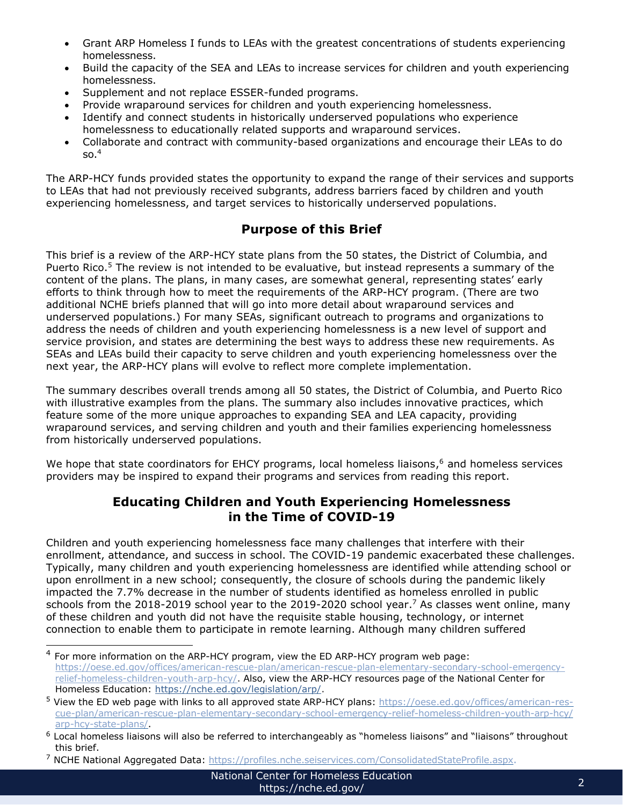- Grant ARP Homeless I funds to LEAs with the greatest concentrations of students experiencing homelessness.
- Build the capacity of the SEA and LEAs to increase services for children and youth experiencing homelessness.
- Supplement and not replace ESSER-funded programs.
- Provide wraparound services for children and youth experiencing homelessness.
- Identify and connect students in historically underserved populations who experience homelessness to educationally related supports and wraparound services.
- Collaborate and contract with community-based organizations and encourage their LEAs to do  $SO<sup>4</sup>$

The ARP-HCY funds provided states the opportunity to expand the range of their services and supports to LEAs that had not previously received subgrants, address barriers faced by children and youth experiencing homelessness, and target services to historically underserved populations.

# **Purpose of this Brief**

This brief is a review of the ARP-HCY state plans from the 50 states, the District of Columbia, and Puerto Rico.<sup>5</sup> The review is not intended to be evaluative, but instead represents a summary of the content of the plans. The plans, in many cases, are somewhat general, representing states' early efforts to think through how to meet the requirements of the ARP-HCY program. (There are two additional NCHE briefs planned that will go into more detail about wraparound services and underserved populations.) For many SEAs, significant outreach to programs and organizations to address the needs of children and youth experiencing homelessness is a new level of support and service provision, and states are determining the best ways to address these new requirements. As SEAs and LEAs build their capacity to serve children and youth experiencing homelessness over the next year, the ARP-HCY plans will evolve to reflect more complete implementation.

The summary describes overall trends among all 50 states, the District of Columbia, and Puerto Rico with illustrative examples from the plans. The summary also includes innovative practices, which feature some of the more unique approaches to expanding SEA and LEA capacity, providing wraparound services, and serving children and youth and their families experiencing homelessness from historically underserved populations.

We hope that state coordinators for EHCY programs, local homeless liaisons,<sup>6</sup> and homeless services providers may be inspired to expand their programs and services from reading this report.

#### **Educating Children and Youth Experiencing Homelessness in the Time of COVID-19**

Children and youth experiencing homelessness face many challenges that interfere with their enrollment, attendance, and success in school. The COVID-19 pandemic exacerbated these challenges. Typically, many children and youth experiencing homelessness are identified while attending school or upon enrollment in a new school; consequently, the closure of schools during the pandemic likely impacted the 7.7% decrease in the number of students identified as homeless enrolled in public schools from the 2018-2019 school year to the 2019-2020 school year. <sup>7</sup> As classes went online, many of these children and youth did not have the requisite stable housing, technology, or internet connection to enable them to participate in remote learning. Although many children suffered

 $4$  For more information on the ARP-HCY program, view the ED ARP-HCY program web page: [https://oese.ed.gov/offices/american-rescue-plan/american-rescue-plan-elementary-secondary-school-emergency](https://oese.ed.gov/offices/american-rescue-plan/american-rescue-plan-elementary-secondary-school-emergency-relief-homeless-children-youth-arp-hcy/)[relief-homeless-children-youth-arp-hcy/.](https://oese.ed.gov/offices/american-rescue-plan/american-rescue-plan-elementary-secondary-school-emergency-relief-homeless-children-youth-arp-hcy/) Also, view the ARP-HCY resources page of the National Center for Homeless Education: [https://nche.ed.gov/legislation/arp/.](https://nche.ed.gov/legislation/arp/)

<sup>5</sup> View the ED web page with links to all approved state ARP-HCY plans: [https://oese.ed.gov/offices/american-res](https://oese.ed.gov/offices/american-rescue-plan/american-rescue-plan-elementary-secondary-school-emergency-relief-homeless-children-youth-arp-hcy/arp-hcy-state-plans/)[cue-plan/american-rescue-plan-elementary-secondary-school-emergency-relief-homeless-children-youth-arp-hcy/](https://oese.ed.gov/offices/american-rescue-plan/american-rescue-plan-elementary-secondary-school-emergency-relief-homeless-children-youth-arp-hcy/arp-hcy-state-plans/) [arp-hcy-state-plans/.](https://oese.ed.gov/offices/american-rescue-plan/american-rescue-plan-elementary-secondary-school-emergency-relief-homeless-children-youth-arp-hcy/arp-hcy-state-plans/)

<sup>6</sup> Local homeless liaisons will also be referred to interchangeably as "homeless liaisons" and "liaisons" throughout this brief.

<sup>&</sup>lt;sup>7</sup> NCHE National Aggregated Data: <https://profiles.nche.seiservices.com/ConsolidatedStateProfile.aspx>.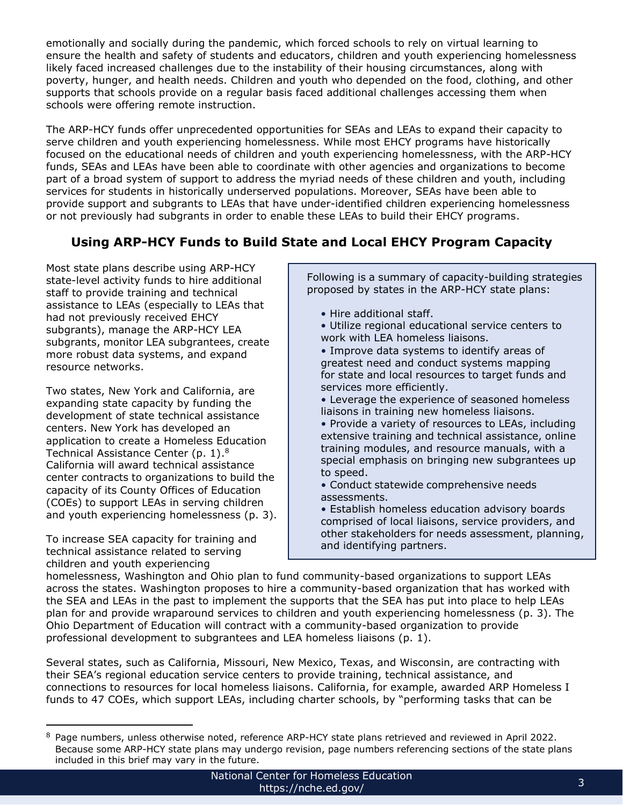emotionally and socially during the pandemic, which forced schools to rely on virtual learning to ensure the health and safety of students and educators, children and youth experiencing homelessness likely faced increased challenges due to the instability of their housing circumstances, along with poverty, hunger, and health needs. Children and youth who depended on the food, clothing, and other supports that schools provide on a regular basis faced additional challenges accessing them when schools were offering remote instruction.

The ARP-HCY funds offer unprecedented opportunities for SEAs and LEAs to expand their capacity to serve children and youth experiencing homelessness. While most EHCY programs have historically focused on the educational needs of children and youth experiencing homelessness, with the ARP-HCY funds, SEAs and LEAs have been able to coordinate with other agencies and organizations to become part of a broad system of support to address the myriad needs of these children and youth, including services for students in historically underserved populations. Moreover, SEAs have been able to provide support and subgrants to LEAs that have under-identified children experiencing homelessness or not previously had subgrants in order to enable these LEAs to build their EHCY programs.

# **Using ARP-HCY Funds to Build State and Local EHCY Program Capacity**

Most state plans describe using ARP-HCY state-level activity funds to hire additional staff to provide training and technical assistance to LEAs (especially to LEAs that had not previously received EHCY subgrants), manage the ARP-HCY LEA subgrants, monitor LEA subgrantees, create more robust data systems, and expand resource networks.

Two states, New York and California, are expanding state capacity by funding the development of state technical assistance centers. New York has developed an application to create a Homeless Education Technical Assistance Center (p. 1).<sup>8</sup> California will award technical assistance center contracts to organizations to build the capacity of its County Offices of Education (COEs) to support LEAs in serving children and youth experiencing homelessness (p. 3).

To increase SEA capacity for training and technical assistance related to serving children and youth experiencing

Following is a summary of capacity-building strategies proposed by states in the ARP-HCY state plans:

- Hire additional staff.
- Utilize regional educational service centers to work with LEA homeless liaisons.
- Improve data systems to identify areas of greatest need and conduct systems mapping for state and local resources to target funds and services more efficiently.
- Leverage the experience of seasoned homeless liaisons in training new homeless liaisons.
- Provide a variety of resources to LEAs, including extensive training and technical assistance, online training modules, and resource manuals, with a special emphasis on bringing new subgrantees up to speed.
- Conduct statewide comprehensive needs assessments.

• Establish homeless education advisory boards comprised of local liaisons, service providers, and other stakeholders for needs assessment, planning, and identifying partners.

homelessness, Washington and Ohio plan to fund community-based organizations to support LEAs across the states. Washington proposes to hire a community-based organization that has worked with the SEA and LEAs in the past to implement the supports that the SEA has put into place to help LEAs plan for and provide wraparound services to children and youth experiencing homelessness (p. 3). The Ohio Department of Education will contract with a community-based organization to provide professional development to subgrantees and LEA homeless liaisons (p. 1).

Several states, such as California, Missouri, New Mexico, Texas, and Wisconsin, are contracting with their SEA's regional education service centers to provide training, technical assistance, and connections to resources for local homeless liaisons. California, for example, awarded ARP Homeless I funds to 47 COEs, which support LEAs, including charter schools, by "performing tasks that can be

<sup>&</sup>lt;sup>8</sup> Page numbers, unless otherwise noted, reference ARP-HCY state plans retrieved and reviewed in April 2022. Because some ARP-HCY state plans may undergo revision, page numbers referencing sections of the state plans included in this brief may vary in the future.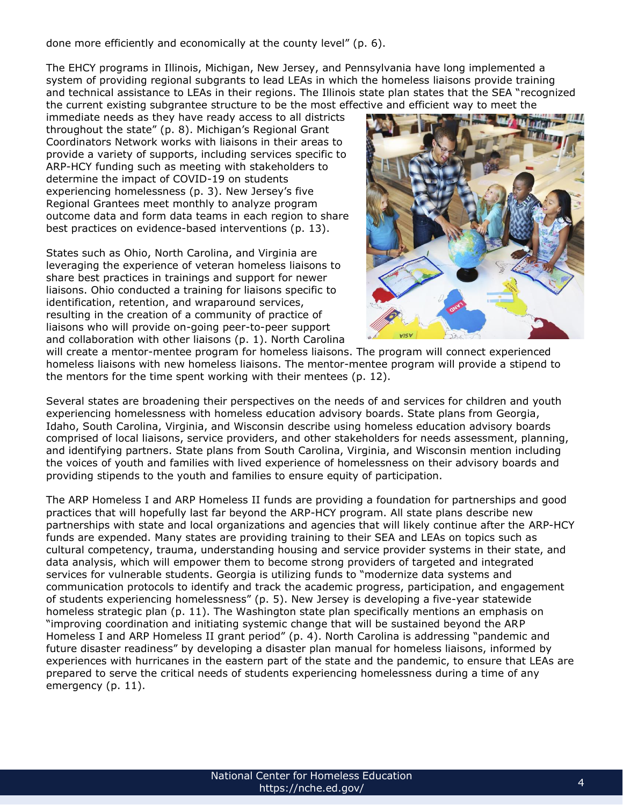done more efficiently and economically at the county level" (p. 6).

The EHCY programs in Illinois, Michigan, New Jersey, and Pennsylvania have long implemented a system of providing regional subgrants to lead LEAs in which the homeless liaisons provide training and technical assistance to LEAs in their regions. The Illinois state plan states that the SEA "recognized the current existing subgrantee structure to be the most effective and efficient way to meet the

immediate needs as they have ready access to all districts throughout the state" (p. 8). Michigan's Regional Grant Coordinators Network works with liaisons in their areas to provide a variety of supports, including services specific to ARP-HCY funding such as meeting with stakeholders to determine the impact of COVID-19 on students experiencing homelessness (p. 3). New Jersey's five Regional Grantees meet monthly to analyze program outcome data and form data teams in each region to share best practices on evidence-based interventions (p. 13).

States such as Ohio, North Carolina, and Virginia are leveraging the experience of veteran homeless liaisons to share best practices in trainings and support for newer liaisons. Ohio conducted a training for liaisons specific to identification, retention, and wraparound services, resulting in the creation of a community of practice of liaisons who will provide on-going peer-to-peer support and collaboration with other liaisons (p. 1). North Carolina



will create a mentor-mentee program for homeless liaisons. The program will connect experienced homeless liaisons with new homeless liaisons. The mentor-mentee program will provide a stipend to the mentors for the time spent working with their mentees (p. 12).

Several states are broadening their perspectives on the needs of and services for children and youth experiencing homelessness with homeless education advisory boards. State plans from Georgia, Idaho, South Carolina, Virginia, and Wisconsin describe using homeless education advisory boards comprised of local liaisons, service providers, and other stakeholders for needs assessment, planning, and identifying partners. State plans from South Carolina, Virginia, and Wisconsin mention including the voices of youth and families with lived experience of homelessness on their advisory boards and providing stipends to the youth and families to ensure equity of participation.

The ARP Homeless I and ARP Homeless II funds are providing a foundation for partnerships and good practices that will hopefully last far beyond the ARP-HCY program. All state plans describe new partnerships with state and local organizations and agencies that will likely continue after the ARP-HCY funds are expended. Many states are providing training to their SEA and LEAs on topics such as cultural competency, trauma, understanding housing and service provider systems in their state, and data analysis, which will empower them to become strong providers of targeted and integrated services for vulnerable students. Georgia is utilizing funds to "modernize data systems and communication protocols to identify and track the academic progress, participation, and engagement of students experiencing homelessness" (p. 5). New Jersey is developing a five-year statewide homeless strategic plan (p. 11). The Washington state plan specifically mentions an emphasis on "improving coordination and initiating systemic change that will be sustained beyond the ARP Homeless I and ARP Homeless II grant period" (p. 4). North Carolina is addressing "pandemic and future disaster readiness" by developing a disaster plan manual for homeless liaisons, informed by experiences with hurricanes in the eastern part of the state and the pandemic, to ensure that LEAs are prepared to serve the critical needs of students experiencing homelessness during a time of any emergency (p. 11).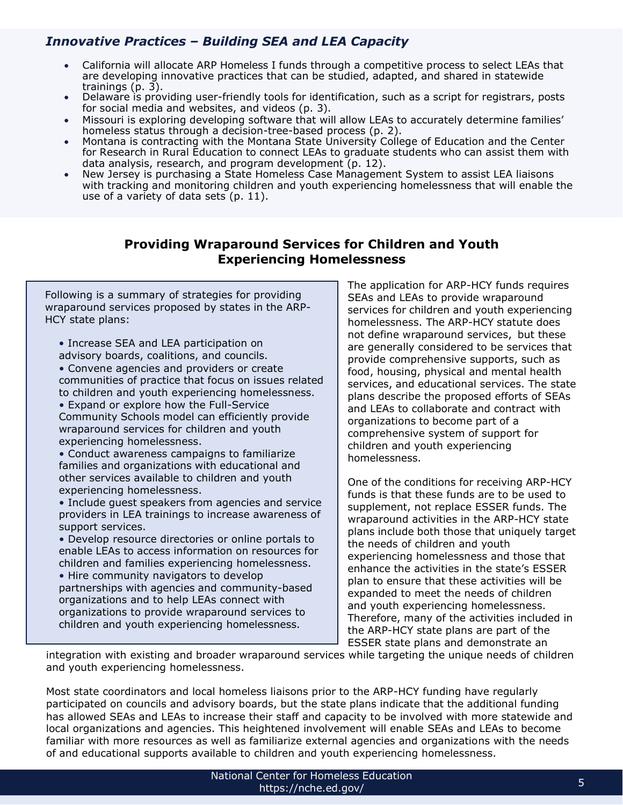## *Innovative Practices – Building SEA and LEA Capacity*

- California will allocate ARP Homeless I funds through a competitive process to select LEAs that are developing innovative practices that can be studied, adapted, and shared in statewide trainings (p. 3).
- Delaware is providing user-friendly tools for identification, such as a script for registrars, posts for social media and websites, and videos (p. 3).
- Missouri is exploring developing software that will allow LEAs to accurately determine families' homeless status through a decision-tree-based process (p. 2).
- Montana is contracting with the Montana State University College of Education and the Center for Research in Rural Education to connect LEAs to graduate students who can assist them with data analysis, research, and program development (p. 12).
- New Jersey is purchasing a State Homeless Case Management System to assist LEA liaisons with tracking and monitoring children and youth experiencing homelessness that will enable the use of a variety of data sets (p. 11).

#### **Providing Wraparound Services for Children and Youth Experiencing Homelessness**

Following is a summary of strategies for providing wraparound services proposed by states in the ARP-HCY state plans:

• Increase SEA and LEA participation on advisory boards, coalitions, and councils.

• Convene agencies and providers or create communities of practice that focus on issues related to children and youth experiencing homelessness. • Expand or explore how the Full-Service

Community Schools model can efficiently provide wraparound services for children and youth experiencing homelessness.

• Conduct awareness campaigns to familiarize families and organizations with educational and other services available to children and youth experiencing homelessness.

• Include guest speakers from agencies and service providers in LEA trainings to increase awareness of support services.

• Develop resource directories or online portals to enable LEAs to access information on resources for children and families experiencing homelessness.

• Hire community navigators to develop partnerships with agencies and community-based organizations and to help LEAs connect with organizations to provide wraparound services to children and youth experiencing homelessness.

The application for ARP-HCY funds requires SEAs and LEAs to provide wraparound services for children and youth experiencing homelessness. The ARP-HCY statute does not define wraparound services, but these are generally considered to be services that provide comprehensive supports, such as food, housing, physical and mental health services, and educational services. The state plans describe the proposed efforts of SEAs and LEAs to collaborate and contract with organizations to become part of a comprehensive system of support for children and youth experiencing homelessness.

One of the conditions for receiving ARP-HCY funds is that these funds are to be used to supplement, not replace ESSER funds. The wraparound activities in the ARP-HCY state plans include both those that uniquely target the needs of children and youth experiencing homelessness and those that enhance the activities in the state's ESSER plan to ensure that these activities will be expanded to meet the needs of children and youth experiencing homelessness. Therefore, many of the activities included in the ARP-HCY state plans are part of the ESSER state plans and demonstrate an

integration with existing and broader wraparound services while targeting the unique needs of children and youth experiencing homelessness.

Most state coordinators and local homeless liaisons prior to the ARP-HCY funding have regularly participated on councils and advisory boards, but the state plans indicate that the additional funding has allowed SEAs and LEAs to increase their staff and capacity to be involved with more statewide and local organizations and agencies. This heightened involvement will enable SEAs and LEAs to become familiar with more resources as well as familiarize external agencies and organizations with the needs of and educational supports available to children and youth experiencing homelessness.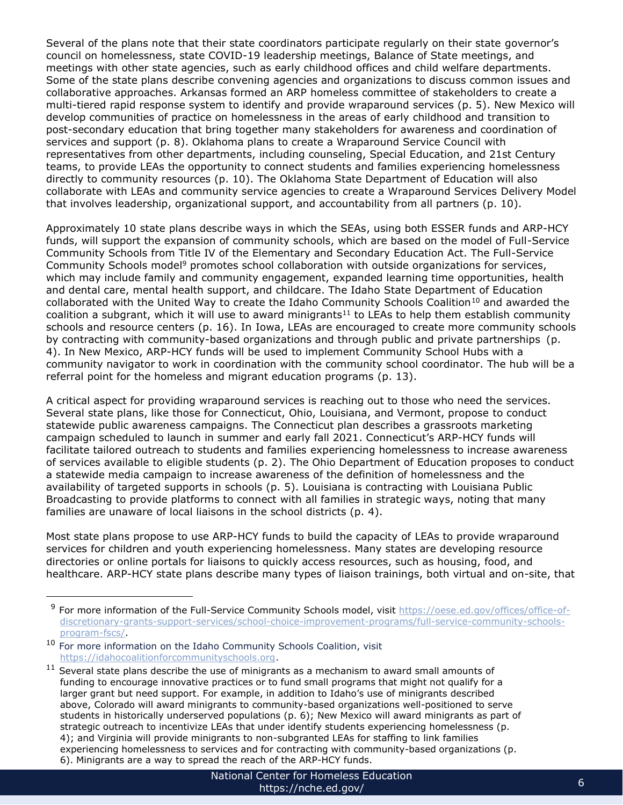Several of the plans note that their state coordinators participate regularly on their state governor's council on homelessness, state COVID-19 leadership meetings, Balance of State meetings, and meetings with other state agencies, such as early childhood offices and child welfare departments. Some of the state plans describe convening agencies and organizations to discuss common issues and collaborative approaches. Arkansas formed an ARP homeless committee of stakeholders to create a multi-tiered rapid response system to identify and provide wraparound services (p. 5). New Mexico will develop communities of practice on homelessness in the areas of early childhood and transition to post-secondary education that bring together many stakeholders for awareness and coordination of services and support (p. 8). Oklahoma plans to create a Wraparound Service Council with representatives from other departments, including counseling, Special Education, and 21st Century teams, to provide LEAs the opportunity to connect students and families experiencing homelessness directly to community resources (p. 10). The Oklahoma State Department of Education will also collaborate with LEAs and community service agencies to create a Wraparound Services Delivery Model that involves leadership, organizational support, and accountability from all partners (p. 10).

Approximately 10 state plans describe ways in which the SEAs, using both ESSER funds and ARP-HCY funds, will support the expansion of community schools, which are based on the model of Full-Service Community Schools from Title IV of the Elementary and Secondary Education Act. The Full-Service Community Schools model<sup>9</sup> promotes school collaboration with outside organizations for services, which may include family and community engagement, expanded learning time opportunities, health and dental care, mental health support, and childcare. The Idaho State Department of Education collaborated with the United Way to create the Idaho Community Schools Coalition<sup>10</sup> and awarded the coalition a subgrant, which it will use to award minigrants<sup>11</sup> to LEAs to help them establish community schools and resource centers (p. 16). In Iowa, LEAs are encouraged to create more community schools by contracting with community-based organizations and through public and private partnerships (p. 4). In New Mexico, ARP-HCY funds will be used to implement Community School Hubs with a community navigator to work in coordination with the community school coordinator. The hub will be a referral point for the homeless and migrant education programs (p. 13).

A critical aspect for providing wraparound services is reaching out to those who need the services. Several state plans, like those for Connecticut, Ohio, Louisiana, and Vermont, propose to conduct statewide public awareness campaigns. The Connecticut plan describes a grassroots marketing campaign scheduled to launch in summer and early fall 2021. Connecticut's ARP-HCY funds will facilitate tailored outreach to students and families experiencing homelessness to increase awareness of services available to eligible students (p. 2). The Ohio Department of Education proposes to conduct a statewide media campaign to increase awareness of the definition of homelessness and the availability of targeted supports in schools (p. 5). Louisiana is contracting with Louisiana Public Broadcasting to provide platforms to connect with all families in strategic ways, noting that many families are unaware of local liaisons in the school districts (p. 4).

Most state plans propose to use ARP-HCY funds to build the capacity of LEAs to provide wraparound services for children and youth experiencing homelessness. Many states are developing resource directories or online portals for liaisons to quickly access resources, such as housing, food, and healthcare. ARP-HCY state plans describe many types of liaison trainings, both virtual and on-site, that

<sup>&</sup>lt;sup>9</sup> For more information of the Full-Service Community Schools model, visit [https://oese.ed.gov/offices/office-of](https://oese.ed.gov/offices/office-of-discretionary-grants-support-services/school-choice-improvement-programs/full-service-community-schools-program-fscs/)[discretionary-grants-support-services/school-choice-improvement-programs/full-service-community-schools](https://oese.ed.gov/offices/office-of-discretionary-grants-support-services/school-choice-improvement-programs/full-service-community-schools-program-fscs/)[program-fscs/.](https://oese.ed.gov/offices/office-of-discretionary-grants-support-services/school-choice-improvement-programs/full-service-community-schools-program-fscs/)

<sup>&</sup>lt;sup>10</sup> For more information on the Idaho Community Schools Coalition, visit [https://idahocoalitionforcommunityschools.org.](https://idahocoalitionforcommunityschools.org/)

 $11$  Several state plans describe the use of minigrants as a mechanism to award small amounts of funding to encourage innovative practices or to fund small programs that might not qualify for a larger grant but need support. For example, in addition to Idaho's use of minigrants described above, Colorado will award minigrants to community-based organizations well-positioned to serve students in historically underserved populations (p. 6); New Mexico will award minigrants as part of strategic outreach to incentivize LEAs that under identify students experiencing homelessness (p. 4); and Virginia will provide minigrants to non-subgranted LEAs for staffing to link families experiencing homelessness to services and for contracting with community-based organizations (p. 6). Minigrants are a way to spread the reach of the ARP-HCY funds.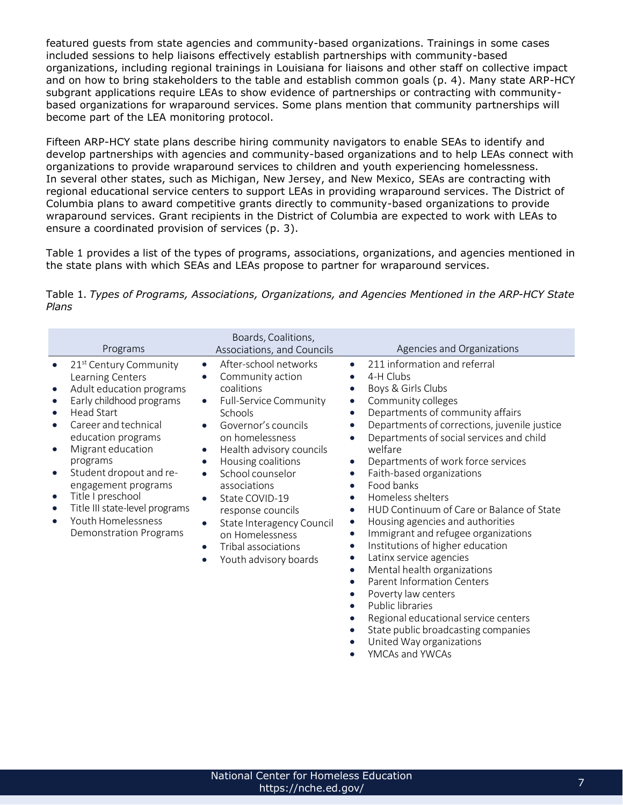featured guests from state agencies and community-based organizations. Trainings in some cases included sessions to help liaisons effectively establish partnerships with community-based organizations, including regional trainings in Louisiana for liaisons and other staff on collective impact and on how to bring stakeholders to the table and establish common goals (p. 4). Many state ARP-HCY subgrant applications require LEAs to show evidence of partnerships or contracting with communitybased organizations for wraparound services. Some plans mention that community partnerships will become part of the LEA monitoring protocol.

Fifteen ARP-HCY state plans describe hiring community navigators to enable SEAs to identify and develop partnerships with agencies and community-based organizations and to help LEAs connect with organizations to provide wraparound services to children and youth experiencing homelessness. In several other states, such as Michigan, New Jersey, and New Mexico, SEAs are contracting with regional educational service centers to support LEAs in providing wraparound services. The District of Columbia plans to award competitive grants directly to community-based organizations to provide wraparound services. Grant recipients in the District of Columbia are expected to work with LEAs to ensure a coordinated provision of services (p. 3).

Table 1 provides a list of the types of programs, associations, organizations, and agencies mentioned in the state plans with which SEAs and LEAs propose to partner for wraparound services.

|       |  | Table 1. Types of Programs, Associations, Organizations, and Agencies Mentioned in the ARP-HCY State |  |  |
|-------|--|------------------------------------------------------------------------------------------------------|--|--|
| Plans |  |                                                                                                      |  |  |

| Programs                                                                                                                                                                                                                                                                                                                                                                                                                                     | Boards, Coalitions,<br>Associations, and Councils                                                                                                                                                                                                                                                                                                                                                                                                        | Agencies and Organizations                                                                                                                                                                                                                                                                                                                                                                                                                                                                                                                                                                                                                                                                                                                                                                                                                                                                                                                                       |
|----------------------------------------------------------------------------------------------------------------------------------------------------------------------------------------------------------------------------------------------------------------------------------------------------------------------------------------------------------------------------------------------------------------------------------------------|----------------------------------------------------------------------------------------------------------------------------------------------------------------------------------------------------------------------------------------------------------------------------------------------------------------------------------------------------------------------------------------------------------------------------------------------------------|------------------------------------------------------------------------------------------------------------------------------------------------------------------------------------------------------------------------------------------------------------------------------------------------------------------------------------------------------------------------------------------------------------------------------------------------------------------------------------------------------------------------------------------------------------------------------------------------------------------------------------------------------------------------------------------------------------------------------------------------------------------------------------------------------------------------------------------------------------------------------------------------------------------------------------------------------------------|
| 21 <sup>st</sup> Century Community<br>Learning Centers<br>Adult education programs<br>$\bullet$<br>Early childhood programs<br><b>Head Start</b><br>Career and technical<br>education programs<br>Migrant education<br>$\bullet$<br>programs<br>Student dropout and re-<br>$\bullet$<br>engagement programs<br>Title I preschool<br>$\bullet$<br>Title III state-level programs<br>Youth Homelessness<br>$\bullet$<br>Demonstration Programs | After-school networks<br>$\bullet$<br>Community action<br>$\bullet$<br>coalitions<br><b>Full-Service Community</b><br>$\bullet$<br>Schools<br>Governor's councils<br>on homelessness<br>Health advisory councils<br>$\bullet$<br>Housing coalitions<br>$\bullet$<br>School counselor<br>$\bullet$<br>associations<br>State COVID-19<br>response councils<br>State Interagency Council<br>on Homelessness<br>Tribal associations<br>Youth advisory boards | 211 information and referral<br>$\bullet$<br>4-H Clubs<br>Boys & Girls Clubs<br>Community colleges<br>$\bullet$<br>Departments of community affairs<br>Departments of corrections, juvenile justice<br>Departments of social services and child<br>welfare<br>Departments of work force services<br>$\bullet$<br>Faith-based organizations<br>$\bullet$<br>Food banks<br>$\bullet$<br>Homeless shelters<br>$\bullet$<br>HUD Continuum of Care or Balance of State<br>$\bullet$<br>Housing agencies and authorities<br>$\bullet$<br>Immigrant and refugee organizations<br>$\bullet$<br>Institutions of higher education<br>$\bullet$<br>Latinx service agencies<br>$\bullet$<br>Mental health organizations<br>$\bullet$<br><b>Parent Information Centers</b><br>$\bullet$<br>Poverty law centers<br>Public libraries<br>$\bullet$<br>Regional educational service centers<br>State public broadcasting companies<br>United Way organizations<br>YMCAs and YWCAs |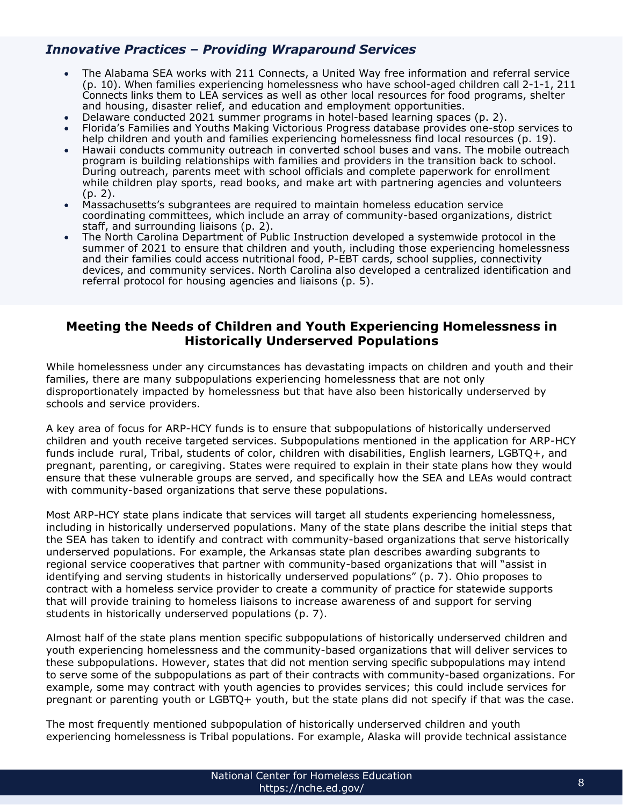#### *Innovative Practices – Providing Wraparound Services*

- The Alabama SEA works with 211 Connects, a United Way free information and referral service (p. 10). When families experiencing homelessness who have school-aged children call 2-1-1, 211 Connects links them to LEA services as well as other local resources for food programs, shelter and housing, disaster relief, and education and employment opportunities.
- Delaware conducted 2021 summer programs in hotel-based learning spaces (p. 2).
- Florida's Families and Youths Making Victorious Progress database provides one-stop services to help children and youth and families experiencing homelessness find local resources (p. 19).
- Hawaii conducts community outreach in converted school buses and vans. The mobile outreach program is building relationships with families and providers in the transition back to school. During outreach, parents meet with school officials and complete paperwork for enrollment while children play sports, read books, and make art with partnering agencies and volunteers (p. 2).
- Massachusetts's subgrantees are required to maintain homeless education service coordinating committees, which include an array of community-based organizations, district staff, and surrounding liaisons (p. 2).
- The North Carolina Department of Public Instruction developed a systemwide protocol in the summer of 2021 to ensure that children and youth, including those experiencing homelessness and their families could access nutritional food, P-EBT cards, school supplies, connectivity devices, and community services. North Carolina also developed a centralized identification and referral protocol for housing agencies and liaisons (p. 5).

#### **Meeting the Needs of Children and Youth Experiencing Homelessness in Historically Underserved Populations**

While homelessness under any circumstances has devastating impacts on children and youth and their families, there are many subpopulations experiencing homelessness that are not only disproportionately impacted by homelessness but that have also been historically underserved by schools and service providers.

A key area of focus for ARP-HCY funds is to ensure that subpopulations of historically underserved children and youth receive targeted services. Subpopulations mentioned in the application for ARP-HCY funds include rural, Tribal, students of color, children with disabilities, English learners, LGBTQ+, and pregnant, parenting, or caregiving. States were required to explain in their state plans how they would ensure that these vulnerable groups are served, and specifically how the SEA and LEAs would contract with community-based organizations that serve these populations.

Most ARP-HCY state plans indicate that services will target all students experiencing homelessness, including in historically underserved populations. Many of the state plans describe the initial steps that the SEA has taken to identify and contract with community-based organizations that serve historically underserved populations. For example, the Arkansas state plan describes awarding subgrants to regional service cooperatives that partner with community-based organizations that will "assist in identifying and serving students in historically underserved populations" (p. 7). Ohio proposes to contract with a homeless service provider to create a community of practice for statewide supports that will provide training to homeless liaisons to increase awareness of and support for serving students in historically underserved populations (p. 7).

Almost half of the state plans mention specific subpopulations of historically underserved children and youth experiencing homelessness and the community-based organizations that will deliver services to these subpopulations. However, states that did not mention serving specific subpopulations may intend to serve some of the subpopulations as part of their contracts with community-based organizations. For example, some may contract with youth agencies to provides services; this could include services for pregnant or parenting youth or LGBTQ+ youth, but the state plans did not specify if that was the case.

The most frequently mentioned subpopulation of historically underserved children and youth experiencing homelessness is Tribal populations. For example, Alaska will provide technical assistance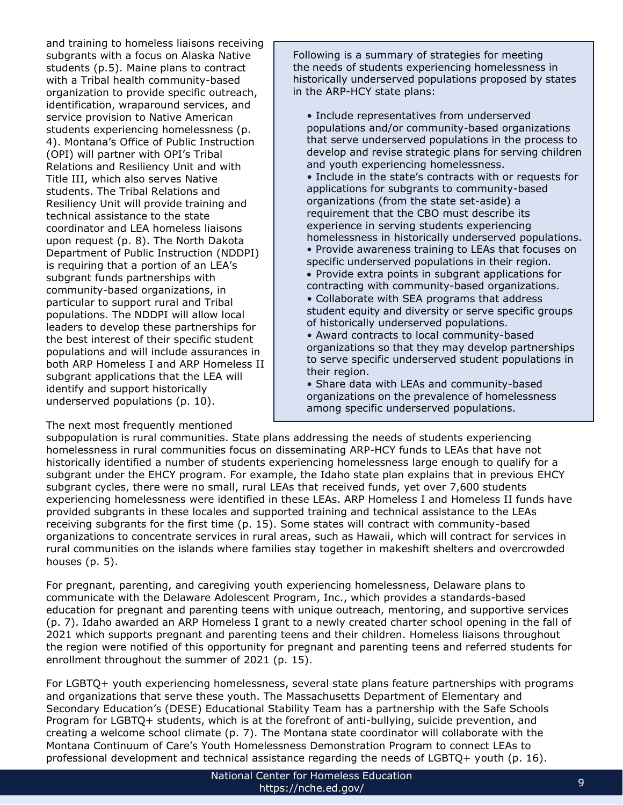and training to homeless liaisons receiving subgrants with a focus on Alaska Native students (p.5). Maine plans to contract with a Tribal health community-based organization to provide specific outreach, identification, wraparound services, and service provision to Native American students experiencing homelessness (p. 4). Montana's Office of Public Instruction (OPI) will partner with OPI's Tribal Relations and Resiliency Unit and with Title III, which also serves Native students. The Tribal Relations and Resiliency Unit will provide training and technical assistance to the state coordinator and LEA homeless liaisons upon request (p. 8). The North Dakota Department of Public Instruction (NDDPI) is requiring that a portion of an LEA's subgrant funds partnerships with community-based organizations, in particular to support rural and Tribal populations. The NDDPI will allow local leaders to develop these partnerships for the best interest of their specific student populations and will include assurances in both ARP Homeless I and ARP Homeless II subgrant applications that the LEA will identify and support historically underserved populations (p. 10).

The next most frequently mentioned

Following is a summary of strategies for meeting the needs of students experiencing homelessness in historically underserved populations proposed by states in the ARP-HCY state plans:

• Include representatives from underserved populations and/or community-based organizations that serve underserved populations in the process to develop and revise strategic plans for serving children and youth experiencing homelessness. • Include in the state's contracts with or requests for applications for subgrants to community-based organizations (from the state set-aside) a requirement that the CBO must describe its experience in serving students experiencing homelessness in historically underserved populations. • Provide awareness training to LEAs that focuses on specific underserved populations in their region. • Provide extra points in subgrant applications for contracting with community-based organizations. • Collaborate with SEA programs that address student equity and diversity or serve specific groups of historically underserved populations. • Award contracts to local community-based organizations so that they may develop partnerships to serve specific underserved student populations in

their region. • Share data with LEAs and community-based organizations on the prevalence of homelessness among specific underserved populations.

subpopulation is rural communities. State plans addressing the needs of students experiencing homelessness in rural communities focus on disseminating ARP-HCY funds to LEAs that have not historically identified a number of students experiencing homelessness large enough to qualify for a subgrant under the EHCY program. For example, the Idaho state plan explains that in previous EHCY subgrant cycles, there were no small, rural LEAs that received funds, yet over 7,600 students experiencing homelessness were identified in these LEAs. ARP Homeless I and Homeless II funds have provided subgrants in these locales and supported training and technical assistance to the LEAs receiving subgrants for the first time (p. 15). Some states will contract with community-based organizations to concentrate services in rural areas, such as Hawaii, which will contract for services in rural communities on the islands where families stay together in makeshift shelters and overcrowded houses (p. 5).

For pregnant, parenting, and caregiving youth experiencing homelessness, Delaware plans to communicate with the Delaware Adolescent Program, Inc., which provides a standards-based education for pregnant and parenting teens with unique outreach, mentoring, and supportive services (p. 7). Idaho awarded an ARP Homeless I grant to a newly created charter school opening in the fall of 2021 which supports pregnant and parenting teens and their children. Homeless liaisons throughout the region were notified of this opportunity for pregnant and parenting teens and referred students for enrollment throughout the summer of 2021 (p. 15).

For LGBTQ+ youth experiencing homelessness, several state plans feature partnerships with programs and organizations that serve these youth. The Massachusetts Department of Elementary and Secondary Education's (DESE) Educational Stability Team has a partnership with the Safe Schools Program for LGBTQ+ students, which is at the forefront of anti-bullying, suicide prevention, and creating a welcome school climate (p. 7). The Montana state coordinator will collaborate with the Montana Continuum of Care's Youth Homelessness Demonstration Program to connect LEAs to professional development and technical assistance regarding the needs of LGBTQ+ youth (p. 16).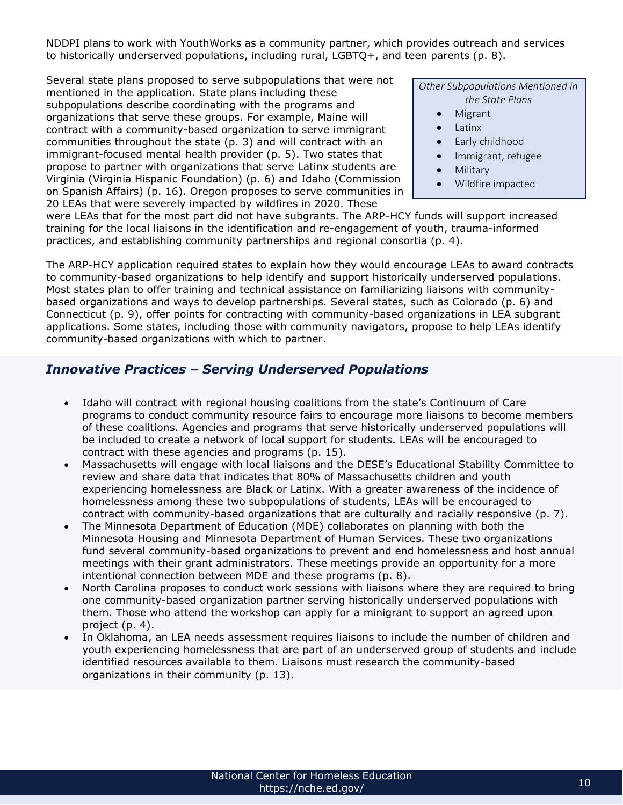NDDPI plans to work with YouthWorks as a community partner, which provides outreach and services to historically underserved populations, including rural, LGBTQ+, and teen parents (p. 8).

Several state plans proposed to serve subpopulations that were not mentioned in the application. State plans including these subpopulations describe coordinating with the programs and organizations that serve these groups. For example, Maine will contract with a community-based organization to serve immigrant communities throughout the state (p. 3) and will contract with an immigrant-focused mental health provider (p. 5). Two states that propose to partner with organizations that serve Latinx students are Virginia (Virginia Hispanic Foundation) (p. 6) and Idaho (Commission on Spanish Affairs) (p. 16). Oregon proposes to serve communities in 20 LEAs that were severely impacted by wildfires in 2020. These

*Other Subpopulations Mentioned in the State Plans*

- Migrant
- Latinx
- Early childhood
- Immigrant, refugee
- Military
- Wildfire impacted

were LEAs that for the most part did not have subgrants. The ARP-HCY funds will support increased training for the local liaisons in the identification and re-engagement of youth, trauma-informed practices, and establishing community partnerships and regional consortia (p. 4).

The ARP-HCY application required states to explain how they would encourage LEAs to award contracts to community-based organizations to help identify and support historically underserved populations. Most states plan to offer training and technical assistance on familiarizing liaisons with communitybased organizations and ways to develop partnerships. Several states, such as Colorado (p. 6) and Connecticut (p. 9), offer points for contracting with community-based organizations in LEA subgrant applications. Some states, including those with community navigators, propose to help LEAs identify community-based organizations with which to partner.

## *Innovative Practices – Serving Underserved Populations*

- Idaho will contract with regional housing coalitions from the state's Continuum of Care programs to conduct community resource fairs to encourage more liaisons to become members of these coalitions. Agencies and programs that serve historically underserved populations will be included to create a network of local support for students. LEAs will be encouraged to contract with these agencies and programs (p. 15).
- Massachusetts will engage with local liaisons and the DESE's Educational Stability Committee to review and share data that indicates that 80% of Massachusetts children and youth experiencing homelessness are Black or Latinx. With a greater awareness of the incidence of homelessness among these two subpopulations of students, LEAs will be encouraged to contract with community-based organizations that are culturally and racially responsive (p. 7).
- The Minnesota Department of Education (MDE) collaborates on planning with both the Minnesota Housing and Minnesota Department of Human Services. These two organizations fund several community-based organizations to prevent and end homelessness and host annual meetings with their grant administrators. These meetings provide an opportunity for a more intentional connection between MDE and these programs (p. 8).
- North Carolina proposes to conduct work sessions with liaisons where they are required to bring one community-based organization partner serving historically underserved populations with them. Those who attend the workshop can apply for a minigrant to support an agreed upon project (p. 4).
- In Oklahoma, an LEA needs assessment requires liaisons to include the number of children and youth experiencing homelessness that are part of an underserved group of students and include identified resources available to them. Liaisons must research the community-based organizations in their community (p. 13).